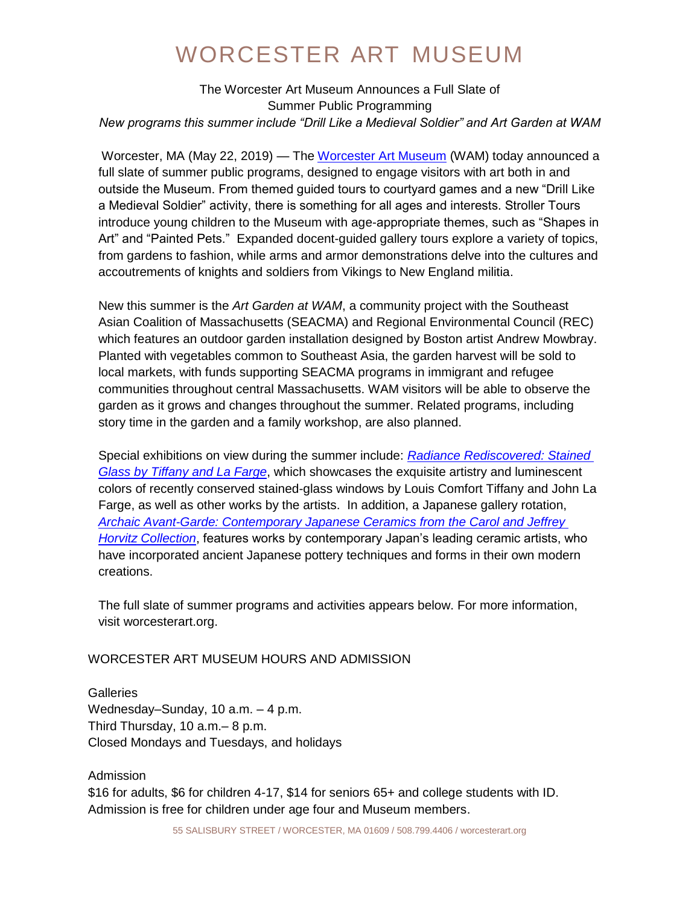The Worcester Art Museum Announces a Full Slate of Summer Public Programming *New programs this summer include "Drill Like a Medieval Soldier" and Art Garden at WAM*

Worcester, MA (May 22, 2019) — The [Worcester Art Museum](https://www.worcesterart.org/) (WAM) today announced a full slate of summer public programs, designed to engage visitors with art both in and outside the Museum. From themed guided tours to courtyard games and a new "Drill Like a Medieval Soldier" activity, there is something for all ages and interests. Stroller Tours introduce young children to the Museum with age-appropriate themes, such as "Shapes in Art" and "Painted Pets." Expanded docent-guided gallery tours explore a variety of topics, from gardens to fashion, while arms and armor demonstrations delve into the cultures and accoutrements of knights and soldiers from Vikings to New England militia.

New this summer is the *Art Garden at WAM*, a community project with the Southeast Asian Coalition of Massachusetts (SEACMA) and Regional Environmental Council (REC) which features an outdoor garden installation designed by Boston artist Andrew Mowbray. Planted with vegetables common to Southeast Asia, the garden harvest will be sold to local markets, with funds supporting SEACMA programs in immigrant and refugee communities throughout central Massachusetts. WAM visitors will be able to observe the garden as it grows and changes throughout the summer. Related programs, including story time in the garden and a family workshop, are also planned.

Special exhibitions on view during the summer include: *[Radiance Rediscovered: Stained](https://www.worcesterart.org/exhibitions/tiffany-and-lafarge/)  [Glass by Tiffany and La Farge](https://www.worcesterart.org/exhibitions/tiffany-and-lafarge/)*, which showcases the exquisite artistry and luminescent colors of recently conserved stained-glass windows by Louis Comfort Tiffany and John La Farge, as well as other works by the artists. In addition, a Japanese gallery rotation, *[Archaic Avant-Garde: Contemporary Japanese Ceramics from the Carol and Jeffrey](https://www.worcesterart.org/exhibitions/archaic-avant-garde/)  [Horvitz Collection](https://www.worcesterart.org/exhibitions/archaic-avant-garde/)*, features works by contemporary Japan's leading ceramic artists, who have incorporated ancient Japanese pottery techniques and forms in their own modern creations.

The full slate of summer programs and activities appears below. For more information, visit worcesterart.org.

#### WORCESTER ART MUSEUM HOURS AND ADMISSION

**Galleries** Wednesday–Sunday, 10 a.m. – 4 p.m. Third Thursday, 10 a.m.– 8 p.m. Closed Mondays and Tuesdays, and holidays

#### Admission

\$16 for adults, \$6 for children 4-17, \$14 for seniors 65+ and college students with ID. Admission is free for children under age four and Museum members.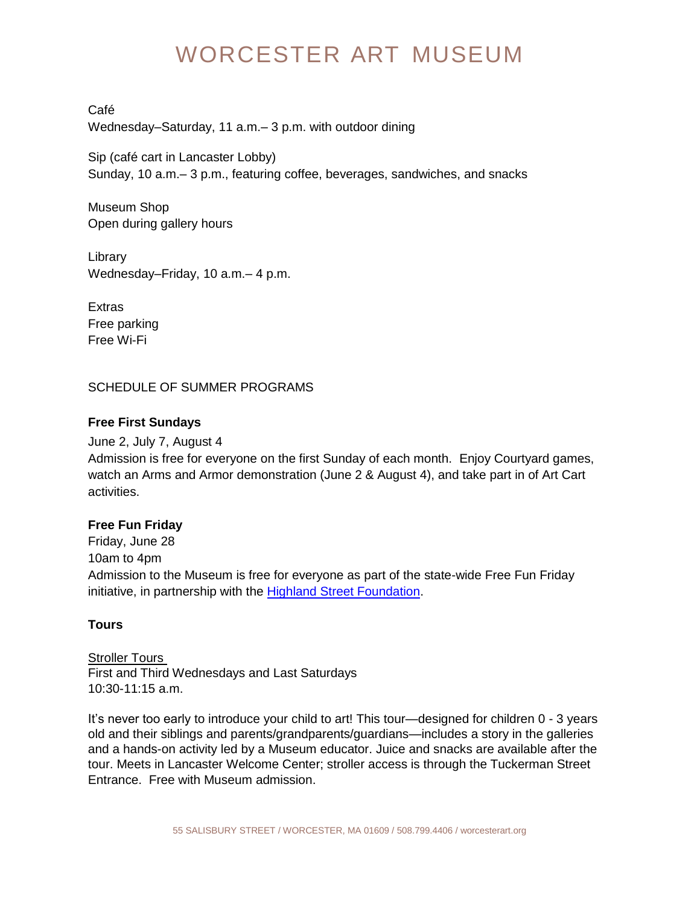Café Wednesday–Saturday, 11 a.m.– 3 p.m. with outdoor dining

Sip (café cart in Lancaster Lobby) Sunday, 10 a.m.– 3 p.m., featuring coffee, beverages, sandwiches, and snacks

Museum Shop Open during gallery hours

Library Wednesday–Friday, 10 a.m.– 4 p.m.

**Extras** Free parking Free Wi-Fi

SCHEDULE OF SUMMER PROGRAMS

### **Free First Sundays**

June 2, July 7, August 4 Admission is free for everyone on the first Sunday of each month. Enjoy Courtyard games, watch an Arms and Armor demonstration (June 2 & August 4), and take part in of Art Cart activities.

### **Free Fun Friday**

Friday, June 28 10am to 4pm Admission to the Museum is free for everyone as part of the state-wide Free Fun Friday initiative, in partnership with the [Highland Street Foundation.](http://www.highlandstreet.org/programs/free-fun-fridays-2019)

### **Tours**

**Stroller Tours** First and Third Wednesdays and Last Saturdays 10:30-11:15 a.m.

It's never too early to introduce your child to art! This tour—designed for children 0 - 3 years old and their siblings and parents/grandparents/guardians—includes a story in the galleries and a hands-on activity led by a Museum educator. Juice and snacks are available after the tour. Meets in Lancaster Welcome Center; stroller access is through the Tuckerman Street Entrance. Free with Museum admission.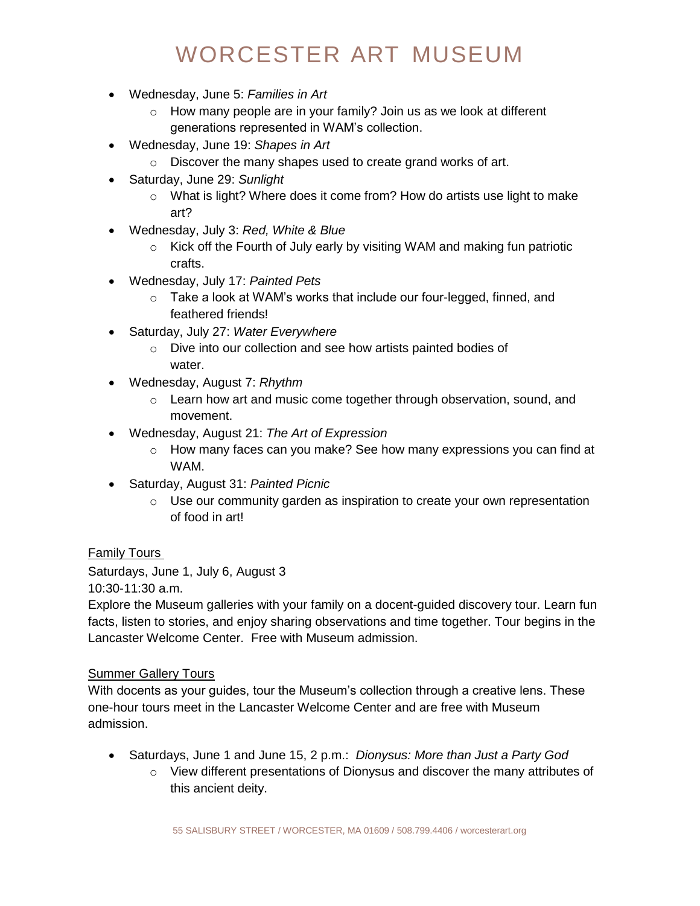- Wednesday, June 5: *Families in Art*
	- $\circ$  How many people are in your family? Join us as we look at different generations represented in WAM's collection.
- Wednesday, June 19: *Shapes in Art*
	- o Discover the many shapes used to create grand works of art.
- Saturday, June 29: *Sunlight*
	- o What is light? Where does it come from? How do artists use light to make art?
- Wednesday, July 3: *Red, White & Blue*
	- o Kick off the Fourth of July early by visiting WAM and making fun patriotic crafts.
- Wednesday, July 17: *Painted Pets*
	- o Take a look at WAM's works that include our four-legged, finned, and feathered friends!
- Saturday, July 27: *Water Everywhere*
	- o Dive into our collection and see how artists painted bodies of water.
- Wednesday, August 7: *Rhythm*
	- o Learn how art and music come together through observation, sound, and movement.
- Wednesday, August 21: *The Art of Expression*
	- $\circ$  How many faces can you make? See how many expressions you can find at WAM.
- Saturday, August 31: *Painted Picnic*
	- o Use our community garden as inspiration to create your own representation of food in art!

#### Family Tours

Saturdays, June 1, July 6, August 3

10:30-11:30 a.m.

Explore the Museum galleries with your family on a docent-guided discovery tour. Learn fun facts, listen to stories, and enjoy sharing observations and time together. Tour begins in the Lancaster Welcome Center. Free with Museum admission.

#### Summer Gallery Tours

With docents as your guides, tour the Museum's collection through a creative lens. These one-hour tours meet in the Lancaster Welcome Center and are free with Museum admission.

- Saturdays, June 1 and June 15, 2 p.m.: *Dionysus: More than Just a Party God*
	- $\circ$  View different presentations of Dionysus and discover the many attributes of this ancient deity.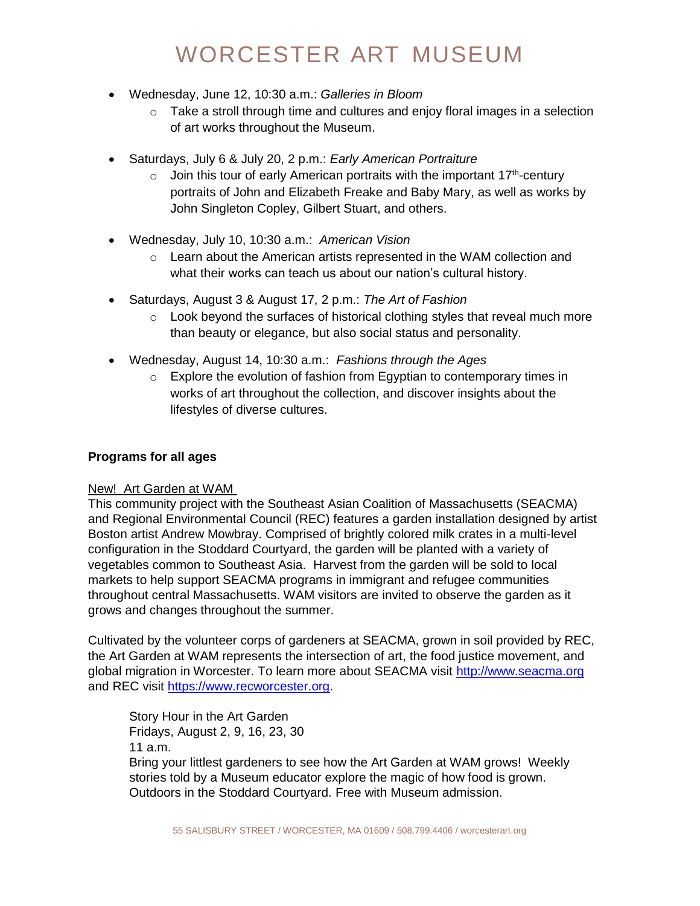- Wednesday, June 12, 10:30 a.m.: *Galleries in Bloom*
	- $\circ$  Take a stroll through time and cultures and enjoy floral images in a selection of art works throughout the Museum.
- Saturdays, July 6 & July 20, 2 p.m.: *Early American Portraiture*
	- $\circ$  Join this tour of early American portraits with the important 17<sup>th</sup>-century portraits of John and Elizabeth Freake and Baby Mary, as well as works by John Singleton Copley, Gilbert Stuart, and others.
- Wednesday, July 10, 10:30 a.m.: *American Vision*
	- $\circ$  Learn about the American artists represented in the WAM collection and what their works can teach us about our nation's cultural history.
- Saturdays, August 3 & August 17, 2 p.m.: *The Art of Fashion*
	- $\circ$  Look beyond the surfaces of historical clothing styles that reveal much more than beauty or elegance, but also social status and personality.
- Wednesday, August 14, 10:30 a.m.: *Fashions through the Ages*
	- $\circ$  Explore the evolution of fashion from Egyptian to contemporary times in works of art throughout the collection, and discover insights about the lifestyles of diverse cultures.

#### **Programs for all ages**

#### New! Art Garden at WAM

This community project with the Southeast Asian Coalition of Massachusetts (SEACMA) and Regional Environmental Council (REC) features a garden installation designed by artist Boston artist Andrew Mowbray. Comprised of brightly colored milk crates in a multi-level configuration in the Stoddard Courtyard, the garden will be planted with a variety of vegetables common to Southeast Asia. Harvest from the garden will be sold to local markets to help support SEACMA programs in immigrant and refugee communities throughout central Massachusetts. WAM visitors are invited to observe the garden as it grows and changes throughout the summer.

Cultivated by the volunteer corps of gardeners at SEACMA, grown in soil provided by REC, the Art Garden at WAM represents the intersection of art, the food justice movement, and global migration in Worcester. To learn more about SEACMA visit [http://www.seacma.org](http://www.seacma.org/) and REC visit [https://www.recworcester.org.](https://www.recworcester.org/)

Story Hour in the Art Garden Fridays, August 2, 9, 16, 23, 30 11 a.m.

Bring your littlest gardeners to see how the Art Garden at WAM grows! Weekly stories told by a Museum educator explore the magic of how food is grown. Outdoors in the Stoddard Courtyard. Free with Museum admission.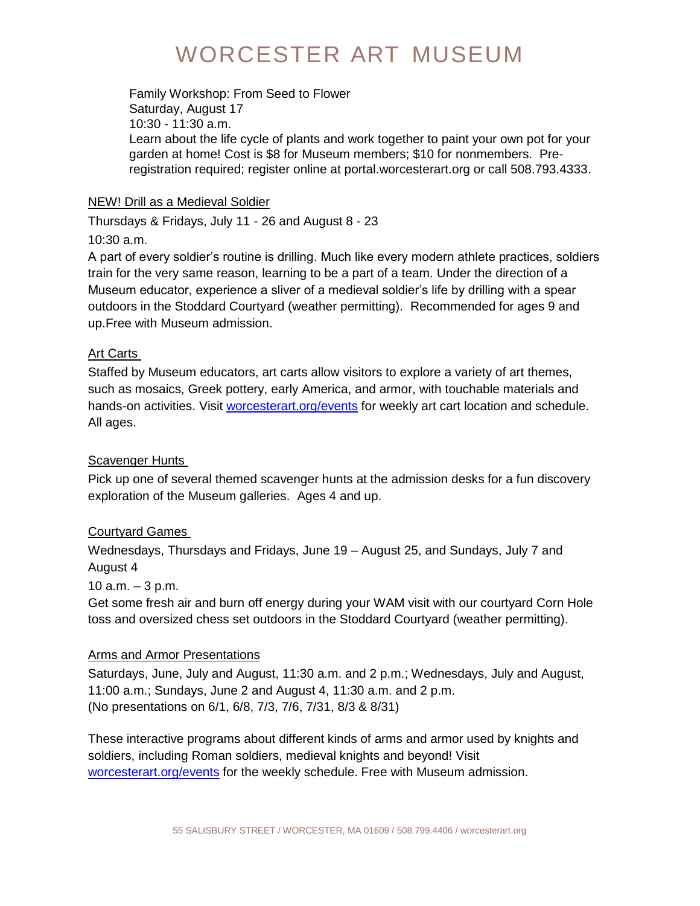Family Workshop: From Seed to Flower Saturday, August 17 10:30 - 11:30 a.m. Learn about the life cycle of plants and work together to paint your own pot for your garden at home! Cost is \$8 for Museum members; \$10 for nonmembers. Preregistration required; register online at portal.worcesterart.org or call 508.793.4333.

#### NEW! Drill as a Medieval Soldier

Thursdays & Fridays, July 11 - 26 and August 8 - 23

10:30 a.m.

A part of every soldier's routine is drilling. Much like every modern athlete practices, soldiers train for the very same reason, learning to be a part of a team. Under the direction of a Museum educator, experience a sliver of a medieval soldier's life by drilling with a spear outdoors in the Stoddard Courtyard (weather permitting). Recommended for ages 9 and up.Free with Museum admission.

#### Art Carts

Staffed by Museum educators, art carts allow visitors to explore a variety of art themes, such as mosaics, Greek pottery, early America, and armor, with touchable materials and hands-on activities. Visit [worcesterart.org/events](https://www.worcesterart.org/events/) for weekly art cart location and schedule. All ages.

#### Scavenger Hunts

Pick up one of several themed scavenger hunts at the admission desks for a fun discovery exploration of the Museum galleries. Ages 4 and up.

### Courtyard Games

Wednesdays, Thursdays and Fridays, June 19 – August 25, and Sundays, July 7 and August 4

10  $a.m. - 3 p.m.$ 

Get some fresh air and burn off energy during your WAM visit with our courtyard Corn Hole toss and oversized chess set outdoors in the Stoddard Courtyard (weather permitting).

#### **Arms and Armor Presentations**

Saturdays, June, July and August, 11:30 a.m. and 2 p.m.; Wednesdays, July and August, 11:00 a.m.; Sundays, June 2 and August 4, 11:30 a.m. and 2 p.m. (No presentations on 6/1, 6/8, 7/3, 7/6, 7/31, 8/3 & 8/31)

These interactive programs about different kinds of arms and armor used by knights and soldiers, including Roman soldiers, medieval knights and beyond! Visit [worcesterart.org/events](https://www.worcesterart.org/events/) for the weekly schedule. Free with Museum admission.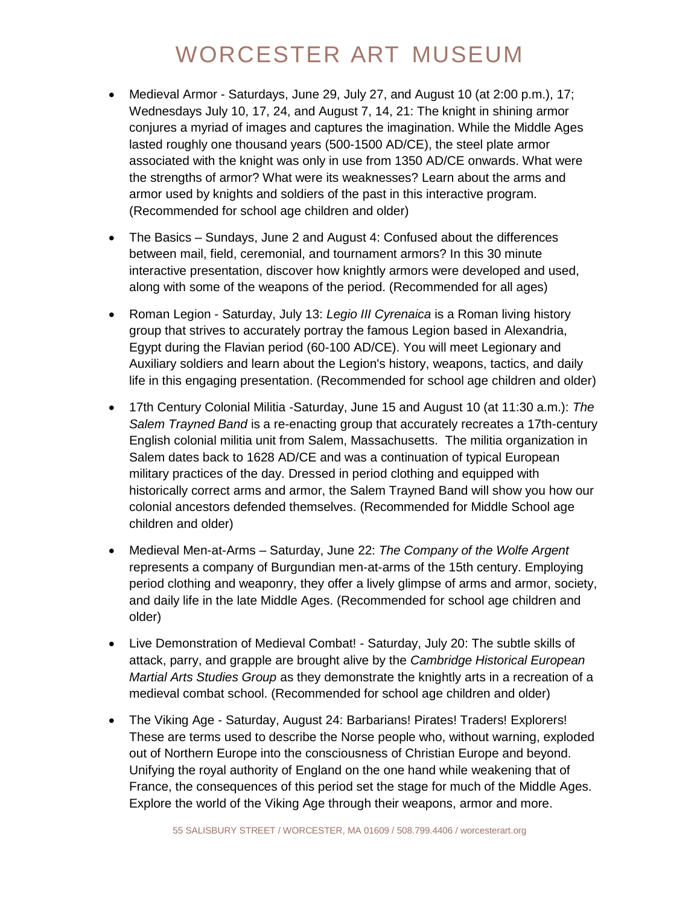- Medieval Armor Saturdays, June 29, July 27, and August 10 (at 2:00 p.m.), 17; Wednesdays July 10, 17, 24, and August 7, 14, 21: The knight in shining armor conjures a myriad of images and captures the imagination. While the Middle Ages lasted roughly one thousand years (500-1500 AD/CE), the steel plate armor associated with the knight was only in use from 1350 AD/CE onwards. What were the strengths of armor? What were its weaknesses? Learn about the arms and armor used by knights and soldiers of the past in this interactive program. (Recommended for school age children and older)
- The Basics Sundays, June 2 and August 4: Confused about the differences between mail, field, ceremonial, and tournament armors? In this 30 minute interactive presentation, discover how knightly armors were developed and used, along with some of the weapons of the period. (Recommended for all ages)
- Roman Legion Saturday, July 13: *Legio III Cyrenaica* is a Roman living history group that strives to accurately portray the famous Legion based in Alexandria, Egypt during the Flavian period (60-100 AD/CE). You will meet Legionary and Auxiliary soldiers and learn about the Legion's history, weapons, tactics, and daily life in this engaging presentation. (Recommended for school age children and older)
- 17th Century Colonial Militia -Saturday, June 15 and August 10 (at 11:30 a.m.): *The Salem Trayned Band* is a re-enacting group that accurately recreates a 17th-century English colonial militia unit from Salem, Massachusetts. The militia organization in Salem dates back to 1628 AD/CE and was a continuation of typical European military practices of the day. Dressed in period clothing and equipped with historically correct arms and armor, the Salem Trayned Band will show you how our colonial ancestors defended themselves. (Recommended for Middle School age children and older)
- Medieval Men-at-Arms Saturday, June 22: *The Company of the Wolfe Argent* represents a company of Burgundian men-at-arms of the 15th century. Employing period clothing and weaponry, they offer a lively glimpse of arms and armor, society, and daily life in the late Middle Ages. (Recommended for school age children and older)
- Live Demonstration of Medieval Combat! Saturday, July 20: The subtle skills of attack, parry, and grapple are brought alive by the *Cambridge Historical European Martial Arts Studies Group* as they demonstrate the knightly arts in a recreation of a medieval combat school. (Recommended for school age children and older)
- The Viking Age Saturday, August 24: Barbarians! Pirates! Traders! Explorers! These are terms used to describe the Norse people who, without warning, exploded out of Northern Europe into the consciousness of Christian Europe and beyond. Unifying the royal authority of England on the one hand while weakening that of France, the consequences of this period set the stage for much of the Middle Ages. Explore the world of the Viking Age through their weapons, armor and more.